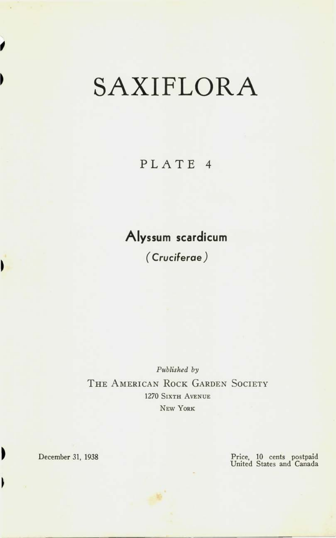# SAXIFLORA

## PLATE 4

## **Alyssum scardicum**

*( Cruciferae )* 

*Published by*  THE AMERICAN ROCK GARDEN SOCIETY 1270 SIXTH AVENUE NEW YORK

١

 $\blacksquare$ 

١

December 31, 1938 Price, 10 cents postpaid United States and Canada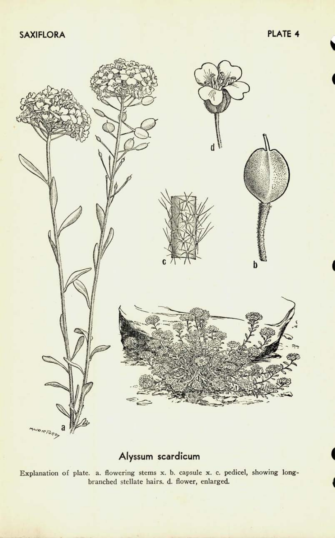

#### **Alyssum scardicum**

Explanation of plate, a. flowering stems x. b. capsule x. c. pedicel, showing longbranched stellate hairs, d. flower, enlarged.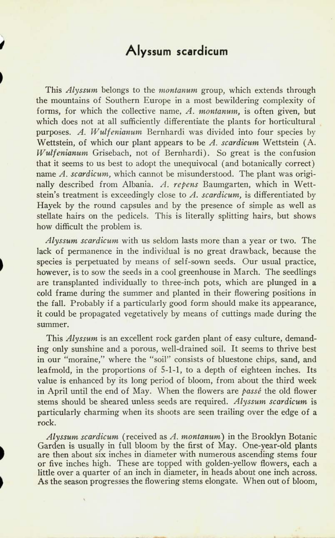### **Alyssum scardicum**

This *Alyssum* belongs to the *montanum* group, which extends through the mountains of Southern Europe in a most bewildering complexity of forms, for which the collective name, *A. montanum,* is often given, but which does not at all sufficiently differentiate the plants for horticultural purposes. *A. Wulfenianum* Bernhardi was divided into four species by Wettstein, of which our plant appears to be *A. scardicum* Wettstein (A. *Wulfenianum* Grisebach, not of Bernhardi). So great is the confusion that it seems to us best to adopt the unequivocal (and botanically correct) name *A. scardicum,* which cannot be misunderstood. The plant was originally described from Albania. *A. re pens* Baumgarten, which in Wettstein's treatment is exceedingly close to *A. scardicum,* is differentiated by Hayek by the round capsules and by the presence of simple as well as stellate hairs on the pedicels. This is literally splitting hairs, but shows how difficult the problem is.

*Alyssum scardicum* with us seldom lasts more than a year or two. The lack of permanence in the individual is no great drawback, because the species is perpetuated by means of self-sown seeds. Our usual practice, however, is to sow the seeds in a cool greenhouse in March. The seedlings are transplanted individually to three-inch pots, which are plunged in a cold frame during the summer and planted in their flowering positions in the fall. Probably if a particularly good form should make its appearance, it could be propagated vegetatively by means of cuttings made during the summer.

This *Alyssum* is an excellent rock garden plant of easy culture, demanding only sunshine and a porous, well-drained soil. It seems to thrive best in our "moraine," where the "soil" consists of bluestone chips, sand, and leaf mold, in the proportions of 5-1-1, to a depth of eighteen inches. Its value is enhanced by its long period of bloom, from about the third week in April until the end of May. When the flowers are *passe* the old flower stems should be sheared unless seeds are required. *Alyssum scardicum* is particularly charming when its shoots are seen trailing over the edge of a rock.

*Alyssum scardicum* (received as *A. montanum)* in the Brooklyn Botanic Garden is usually in full bloom by the first of May. One-year-old plants are then about six inches in diameter with numerous ascending stems four or five inches high. These are topped with golden-yellow flowers, each a little over a quarter of an inch in diameter, in heads about one inch across. As the season progresses the flowering stems elongate. When out of bloom,